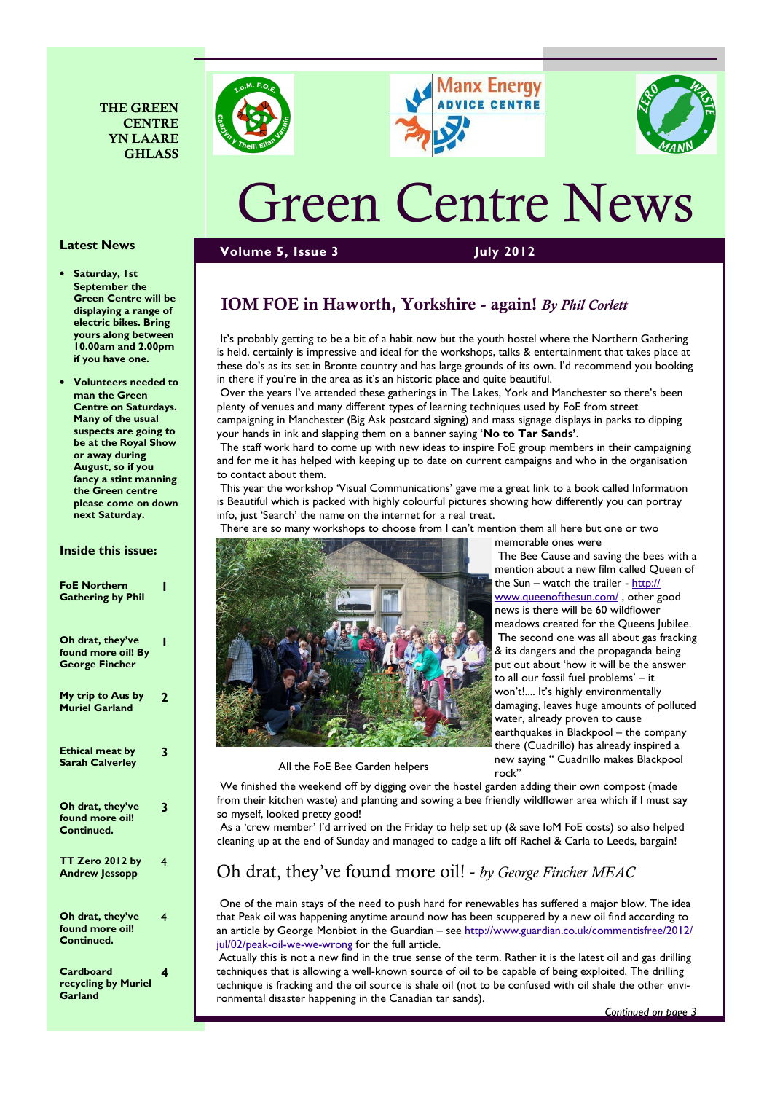







# Green Centre News

#### Volume 5, Issue 3 July 2012

Saturday, 1st September the Green Centre will be displaying a range of electric bikes. Bring yours along between 10.00am and 2.00pm if you have one.

Latest News

• Volunteers needed to man the Green Centre on Saturdays. Many of the usual suspects are going to be at the Royal Show or away during August, so if you fancy a stint manning the Green centre please come on down next Saturday.

#### Inside this issue:

| <b>FoE Northern</b><br><b>Gathering by Phil</b>                 | ı |
|-----------------------------------------------------------------|---|
| Oh drat, they've<br>found more oil! By<br><b>George Fincher</b> |   |
| My trip to Aus by<br><b>Muriel Garland</b>                      | 2 |
| <b>Ethical meat by</b><br><b>Sarah Calverley</b>                | 3 |
| Oh drat, they've<br>found more oil!<br>Continued.               | 3 |
| TT Zero 2012 by<br><b>Andrew Jessopp</b>                        | 4 |
| Oh drat, they've<br>found more oil!<br>Continued.               | 4 |
| Cardboard<br>recycling by Muriel<br>Garland                     | 4 |

# IOM FOE in Haworth, Yorkshire - again! By Phil Corlett

 It's probably getting to be a bit of a habit now but the youth hostel where the Northern Gathering is held, certainly is impressive and ideal for the workshops, talks & entertainment that takes place at these do's as its set in Bronte country and has large grounds of its own. I'd recommend you booking in there if you're in the area as it's an historic place and quite beautiful.

 Over the years I've attended these gatherings in The Lakes, York and Manchester so there's been plenty of venues and many different types of learning techniques used by FoE from street campaigning in Manchester (Big Ask postcard signing) and mass signage displays in parks to dipping your hands in ink and slapping them on a banner saying 'No to Tar Sands'.

 The staff work hard to come up with new ideas to inspire FoE group members in their campaigning and for me it has helped with keeping up to date on current campaigns and who in the organisation to contact about them.

 This year the workshop 'Visual Communications' gave me a great link to a book called Information is Beautiful which is packed with highly colourful pictures showing how differently you can portray info, just 'Search' the name on the internet for a real treat.

 There are so many workshops to choose from I can't mention them all here but one or two memorable ones were



 The Bee Cause and saving the bees with a mention about a new film called Queen of the Sun – watch the trailer - http:// www.queenofthesun.com/ , other good news is there will be 60 wildflower meadows created for the Queens Jubilee. The second one was all about gas fracking & its dangers and the propaganda being put out about 'how it will be the answer to all our fossil fuel problems' – it won't!.... It's highly environmentally damaging, leaves huge amounts of polluted water, already proven to cause earthquakes in Blackpool – the company there (Cuadrillo) has already inspired a new saying " Cuadrillo makes Blackpool rock"

All the FoE Bee Garden helpers

 We finished the weekend off by digging over the hostel garden adding their own compost (made from their kitchen waste) and planting and sowing a bee friendly wildflower area which if I must say so myself, looked pretty good!

 As a 'crew member' I'd arrived on the Friday to help set up (& save IoM FoE costs) so also helped cleaning up at the end of Sunday and managed to cadge a lift off Rachel & Carla to Leeds, bargain!

## Oh drat, they've found more oil! - by George Fincher MEAC

 One of the main stays of the need to push hard for renewables has suffered a major blow. The idea that Peak oil was happening anytime around now has been scuppered by a new oil find according to an article by George Monbiot in the Guardian – see http://www.guardian.co.uk/commentisfree/2012/ jul/02/peak-oil-we-we-wrong for the full article.

Actually this is not a new find in the true sense of the term. Rather it is the latest oil and gas drilling techniques that is allowing a well-known source of oil to be capable of being exploited. The drilling technique is fracking and the oil source is shale oil (not to be confused with oil shale the other environmental disaster happening in the Canadian tar sands).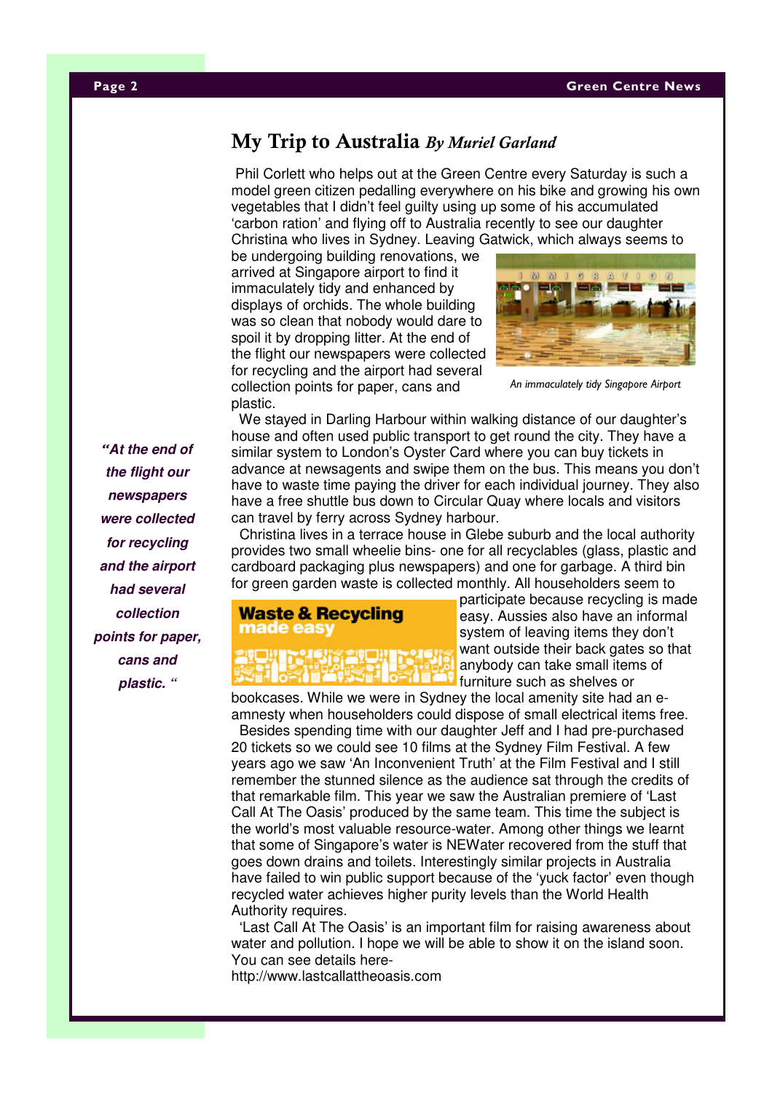#### Page 2 Green Centre News 2 Green Centre News 2 Green Centre News 3 Green Centre News 3 Green Centre News 3 Gre

# My Trip to Australia By Muriel Garland

Phil Corlett who helps out at the Green Centre every Saturday is such a model green citizen pedalling everywhere on his bike and growing his own vegetables that I didn't feel guilty using up some of his accumulated 'carbon ration' and flying off to Australia recently to see our daughter Christina who lives in Sydney. Leaving Gatwick, which always seems to

be undergoing building renovations, we arrived at Singapore airport to find it immaculately tidy and enhanced by displays of orchids. The whole building was so clean that nobody would dare to spoil it by dropping litter. At the end of the flight our newspapers were collected for recycling and the airport had several collection points for paper, cans and plastic.



An immaculately tidy Singapore Airport

We stayed in Darling Harbour within walking distance of our daughter's house and often used public transport to get round the city. They have a similar system to London's Oyster Card where you can buy tickets in advance at newsagents and swipe them on the bus. This means you don't have to waste time paying the driver for each individual journey. They also have a free shuttle bus down to Circular Quay where locals and visitors can travel by ferry across Sydney harbour.

 Christina lives in a terrace house in Glebe suburb and the local authority provides two small wheelie bins- one for all recyclables (glass, plastic and cardboard packaging plus newspapers) and one for garbage. A third bin for green garden waste is collected monthly. All householders seem to



participate because recycling is made easy. Aussies also have an informal system of leaving items they don't want outside their back gates so that anybody can take small items of furniture such as shelves or

bookcases. While we were in Sydney the local amenity site had an eamnesty when householders could dispose of small electrical items free. Besides spending time with our daughter Jeff and I had pre-purchased 20 tickets so we could see 10 films at the Sydney Film Festival. A few years ago we saw 'An Inconvenient Truth' at the Film Festival and I still remember the stunned silence as the audience sat through the credits of that remarkable film. This year we saw the Australian premiere of 'Last Call At The Oasis' produced by the same team. This time the subject is the world's most valuable resource-water. Among other things we learnt that some of Singapore's water is NEWater recovered from the stuff that goes down drains and toilets. Interestingly similar projects in Australia have failed to win public support because of the 'yuck factor' even though recycled water achieves higher purity levels than the World Health Authority requires.

 'Last Call At The Oasis' is an important film for raising awareness about water and pollution. I hope we will be able to show it on the island soon. You can see details here-

http://www.lastcallattheoasis.com

"**At the end of the flight our newspapers were collected for recycling and the airport had several collection points for paper, cans and plastic. "**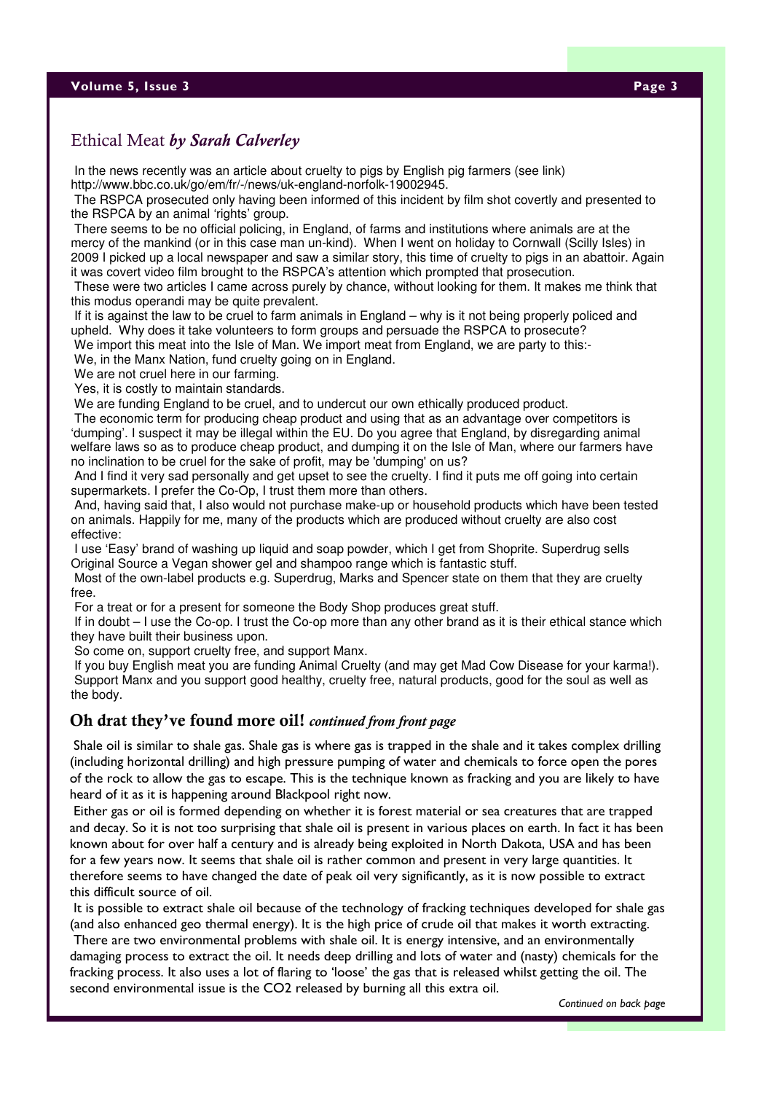#### **Volume 5, Issue 3** Page 3 Page 3 Page 3 Page 3 Page 3 Page 3 Page 3 Page 3 Page 3 Page 3 Page 3 Page 3 Page 3 Page 3

In the news recently was an article about cruelty to pigs by English pig farmers (see link) http://www.bbc.co.uk/go/em/fr/-/news/uk-england-norfolk-19002945.

 The RSPCA prosecuted only having been informed of this incident by film shot covertly and presented to the RSPCA by an animal 'rights' group.

 There seems to be no official policing, in England, of farms and institutions where animals are at the mercy of the mankind (or in this case man un-kind). When I went on holiday to Cornwall (Scilly Isles) in 2009 I picked up a local newspaper and saw a similar story, this time of cruelty to pigs in an abattoir. Again it was covert video film brought to the RSPCA's attention which prompted that prosecution.

 These were two articles I came across purely by chance, without looking for them. It makes me think that this modus operandi may be quite prevalent.

 If it is against the law to be cruel to farm animals in England – why is it not being properly policed and upheld. Why does it take volunteers to form groups and persuade the RSPCA to prosecute?

We import this meat into the Isle of Man. We import meat from England, we are party to this:-

We, in the Manx Nation, fund cruelty going on in England.

We are not cruel here in our farming.

Yes, it is costly to maintain standards.

We are funding England to be cruel, and to undercut our own ethically produced product.

 The economic term for producing cheap product and using that as an advantage over competitors is 'dumping'. I suspect it may be illegal within the EU. Do you agree that England, by disregarding animal welfare laws so as to produce cheap product, and dumping it on the Isle of Man, where our farmers have no inclination to be cruel for the sake of profit, may be 'dumping' on us?

 And I find it very sad personally and get upset to see the cruelty. I find it puts me off going into certain supermarkets. I prefer the Co-Op, I trust them more than others.

 And, having said that, I also would not purchase make-up or household products which have been tested on animals. Happily for me, many of the products which are produced without cruelty are also cost effective:

 I use 'Easy' brand of washing up liquid and soap powder, which I get from Shoprite. Superdrug sells Original Source a Vegan shower gel and shampoo range which is fantastic stuff.

 Most of the own-label products e.g. Superdrug, Marks and Spencer state on them that they are cruelty free.

For a treat or for a present for someone the Body Shop produces great stuff.

 If in doubt – I use the Co-op. I trust the Co-op more than any other brand as it is their ethical stance which they have built their business upon.

So come on, support cruelty free, and support Manx.

 If you buy English meat you are funding Animal Cruelty (and may get Mad Cow Disease for your karma!). Support Manx and you support good healthy, cruelty free, natural products, good for the soul as well as the body.

#### Oh drat they've found more oil! continued from front page

 Shale oil is similar to shale gas. Shale gas is where gas is trapped in the shale and it takes complex drilling (including horizontal drilling) and high pressure pumping of water and chemicals to force open the pores of the rock to allow the gas to escape. This is the technique known as fracking and you are likely to have heard of it as it is happening around Blackpool right now.

 Either gas or oil is formed depending on whether it is forest material or sea creatures that are trapped and decay. So it is not too surprising that shale oil is present in various places on earth. In fact it has been known about for over half a century and is already being exploited in North Dakota, USA and has been for a few years now. It seems that shale oil is rather common and present in very large quantities. It therefore seems to have changed the date of peak oil very significantly, as it is now possible to extract this difficult source of oil.

 It is possible to extract shale oil because of the technology of fracking techniques developed for shale gas (and also enhanced geo thermal energy). It is the high price of crude oil that makes it worth extracting.

 There are two environmental problems with shale oil. It is energy intensive, and an environmentally damaging process to extract the oil. It needs deep drilling and lots of water and (nasty) chemicals for the fracking process. It also uses a lot of flaring to 'loose' the gas that is released whilst getting the oil. The second environmental issue is the CO2 released by burning all this extra oil.

Continued on back page